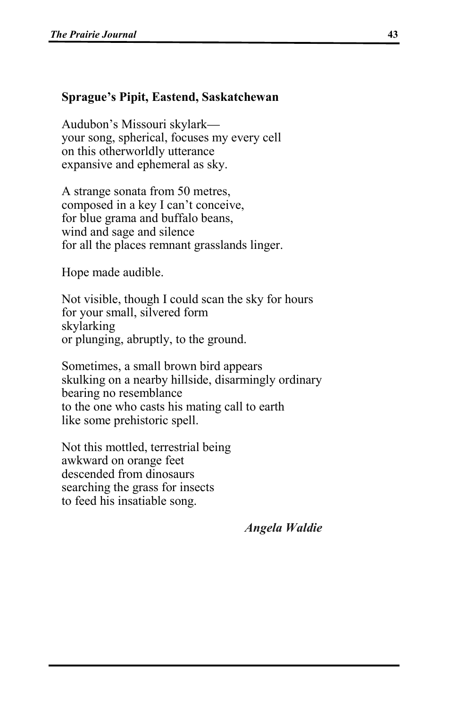## **Sprague's Pipit, Eastend, Saskatchewan**

Audubon's Missouri skylark your song, spherical, focuses my every cell on this otherworldly utterance expansive and ephemeral as sky.

A strange sonata from 50 metres, composed in a key I can't conceive, for blue grama and buffalo beans, wind and sage and silence for all the places remnant grasslands linger.

Hope made audible.

Not visible, though I could scan the sky for hours for your small, silvered form skylarking or plunging, abruptly, to the ground.

Sometimes, a small brown bird appears skulking on a nearby hillside, disarmingly ordinary bearing no resemblance to the one who casts his mating call to earth like some prehistoric spell.

Not this mottled, terrestrial being awkward on orange feet descended from dinosaurs searching the grass for insects to feed his insatiable song.

 *Angela Waldie*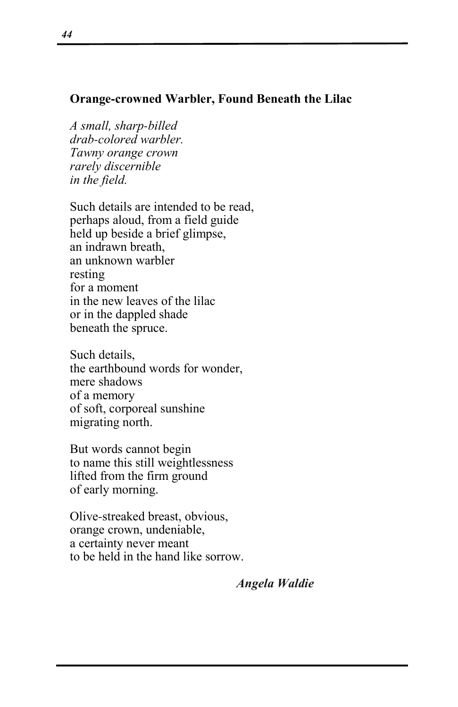## **Orange-crowned Warbler, Found Beneath the Lilac**

*A small, sharp-billed drab-colored warbler. Tawny orange crown rarely discernible in the field.*

Such details are intended to be read, perhaps aloud, from a field guide held up beside a brief glimpse, an indrawn breath, an unknown warbler resting for a moment in the new leaves of the lilac or in the dappled shade beneath the spruce.

Such details, the earthbound words for wonder, mere shadows of a memory of soft, corporeal sunshine migrating north.

But words cannot begin to name this still weightlessness lifted from the firm ground of early morning.

Olive-streaked breast, obvious, orange crown, undeniable, a certainty never meant to be held in the hand like sorrow.

 *Angela Waldie*